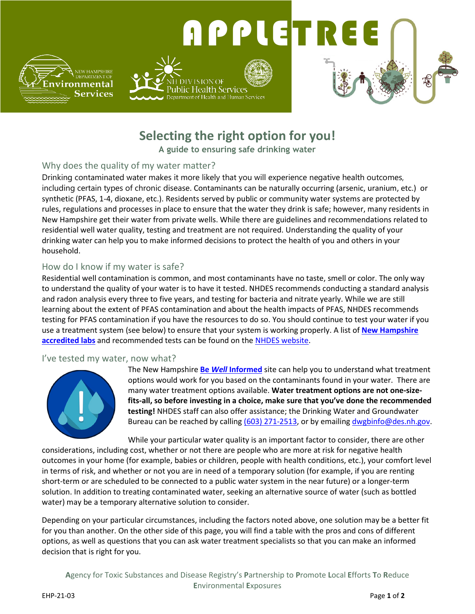

# **Selecting the right option for you!**

**A guide to ensuring safe drinking water**

### Why does the quality of my water matter?

Drinking contaminated water makes it more likely that you will experience negative health outcomes, including certain types of chronic disease. Contaminants can be naturally occurring (arsenic, uranium, etc.) or synthetic (PFAS, 1-4, dioxane, etc.). Residents served by public or community water systems are protected by rules, regulations and processes in place to ensure that the water they drink is safe; however, many residents in New Hampshire get their water from private wells. While there are guidelines and recommendations related to residential well water quality, testing and treatment are not required. Understanding the quality of your drinking water can help you to make informed decisions to protect the health of you and others in your household.

### How do I know if my water is safe?

Residential well contamination is common, and most contaminants have no taste, smell or color. The only way to understand the quality of your water is to have it tested. NHDES recommends conducting a standard analysis and radon analysis every three to five years, and testing for bacteria and nitrate yearly. While we are still learning about the extent of PFAS contamination and about the health impacts of PFAS, NHDES recommends testing for PFAS contamination if you have the resources to do so. You should continue to test your water if you use a treatment system (see below) to ensure that your system is working properly. A list of **[New Hampshire](https://www.des.nh.gov/sites/g/files/ehbemt341/files/documents/labs-private-wells.pdf)  [accredited labs](https://www.des.nh.gov/sites/g/files/ehbemt341/files/documents/labs-private-wells.pdf)** and recommended tests can be found on the [NHDES website.](https://www.des.nh.gov/)

#### I've tested my water, now what?



The New Hampshire **Be** *Well* **[Informed](https://www4.des.state.nh.us/DWITool/)** site can help you to understand what treatment options would work for you based on the contaminants found in your water. There are many water treatment options available. **Water treatment options are not one-sizefits-all, so before investing in a choice, make sure that you've done the recommended testing!** NHDES staff can also offer assistance; the Drinking Water and Groundwater Bureau can be reached by calling [\(603\) 271-2513,](tel:+16032712513) or by emailing [dwgbinfo@des.nh.gov.](mailto:dwgbinfo@des.nh.gov)

While your particular water quality is an important factor to consider, there are other considerations, including cost, whether or not there are people who are more at risk for negative health outcomes in your home (for example, babies or children, people with health conditions, etc.), your comfort level in terms of risk, and whether or not you are in need of a temporary solution (for example, if you are renting short-term or are scheduled to be connected to a public water system in the near future) or a longer-term solution. In addition to treating contaminated water, seeking an alternative source of water (such as bottled water) may be a temporary alternative solution to consider.

Depending on your particular circumstances, including the factors noted above, one solution may be a better fit for you than another. On the other side of this page, you will find a table with the pros and cons of different options, as well as questions that you can ask water treatment specialists so that you can make an informed decision that is right for you.

**A**gency for Toxic Substances and Disease Registry's **P**artnership to **P**romote **L**ocal **E**fforts **T**o **R**educe **E**nvironmental **E**xposures